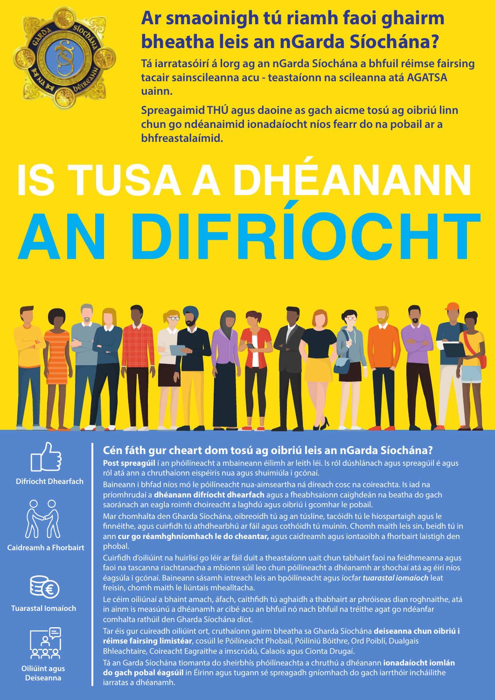

### **Ar smaoinigh tú riamh faoi ghairm bheatha leis an nGarda Síochána?**

**Tá iarratasóirí á lorg ag an nGarda Síochána a bhfuil réimse fairsing tacair sainscileanna acu - teastaíonn na scileanna atá AGATSA uainn.**

**Spreagaimid THÚ agus daoine as gach aicme tosú ag oibriú linn chun go ndéanaimid ionadaíocht níos fearr do na pobail ar a bhfreastalaímid.**

# **IS TUSA A DHÉANANN AN DIFRÍOCHT**



**Difríocht Dhearfach** 





**Tuarastal Iomaíoch**



**Oiliúint agus Deiseanna** 

#### **Cén fáth gur cheart dom tosú ag oibriú leis an nGarda Síochána?**

**Post spreagúil** í an phóilíneacht a mbaineann éilimh ar leith léi. Is ról dúshlánach agus spreagúil é agus ról atá ann a chruthaíonn eispéiris nua agus shuimiúla i gcónaí.

Baineann i bhfad níos mó le póilíneacht nua-aimseartha ná díreach cosc na coireachta. Is iad na príomhrudaí a **dhéanann difríocht dhearfach** agus a fheabhsaíonn caighdeán na beatha do gach saoránach an eagla roimh choireacht a laghdú agus oibriú i gcomhar le pobail.

Mar chomhalta den Gharda Síochána, oibreoidh tú ag an túslíne, tacóidh tú le híospartaigh agus le nnéithe, agus cuirdh tú athdhearbhú ar fáil agus cothóidh tú muinín. Chomh maith leis sin, beidh tú in ann **cur go réamhghníomhach le do cheantar,** agus caidreamh agus iontaoibh a fhorbairt laistigh den phobal.

Cuirdh d'oiliúint na huirlisí go léir ar fáil duit a theastaíonn uait chun tabhairt faoi na feidhmeanna agus faoi na tascanna riachtanacha a mbíonn súil leo chun póilíneacht a dhéanamh ar shochaí atá ag éirí níos éagsúla i gcónaí. Baineann sásamh intreach leis an bpóilíneacht agus íocfar *tuarastal iomaíoch* leat freisin, chomh maith le liúntais mhealltacha.

Le céim oiliúnaí a bhaint amach, áfach, caithfidh tú aghaidh a thabhairt ar phróiseas dian roghnaithe, atá in ainm is measúnú a dhéanamh ar cibé acu an bhfuil nó nach bhfuil na tréithe agat go ndéanfar comhalta rathúil den Gharda Síochána díot.

Tar éis gur cuireadh oiliúint ort, cruthaíonn gairm bheatha sa Gharda Síochána **deiseanna chun oibriú i réimse fairsing limistéar**, cosúil le Póilíneacht Phobail, Póilíniú Bóithre, Ord Poiblí, Dualgais Bhleachtaire, Coireacht Eagraithe a imscrúdú, Calaois agus Cionta Drugaí.

Tá an Garda Síochána tiomanta do sheirbhís phóilíneachta a chruthú a dhéanann **ionadaíocht iomlán do gach pobal éagsúil** in Éirinn agus tugann sé spreagadh gníomhach do gach iarrthóir incháilithe iarratas a dhéanamh.